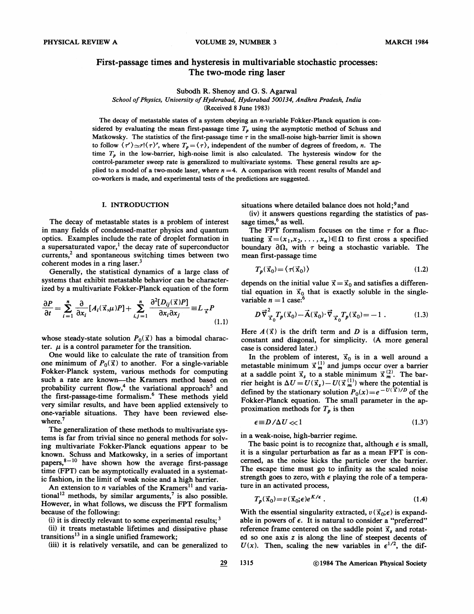# First-passage times and hysteresis in multivariable stochastic processes: The two-mode ring laser

Subodh R. Shenoy and G. S. Agarwal

School of Physics, University of Hyderabad, Hyderabad 500134, Andhra Pradesh, India

(Received 8 June 1983)

The decay of metastable states of a system obeying an n-variable Fokker-Planck equation is considered by evaluating the mean first-passage time  $T<sub>p</sub>$  using the asymptotic method of Schuss and Matkowsky. The statistics of the first-passage time  $\tau$  in the small-noise high-barrier limit is shown to follow  $\langle \tau' \rangle \simeq r! \langle \tau \rangle'$ , where  $T_p = \langle \tau \rangle$ , independent of the number of degrees of freedom, n. The time  $T_{p}$  in the low-barrier, high-noise limit is also calculated. The hysteresis window for the control-parameter sweep rate is generalized to multivariate systems. These general results are applied to a model of a two-mode laser, where  $n = 4$ . A comparison with recent results of Mandel and co-workers is made, and experimental tests of the predictions are suggested.

### I. INTRODUCTION

The decay of metastable states is a problem of interest in many fields of condensed-matter physics and quantum optics. Examples include the rate of droplet formation in 'a supersaturated vapor,<sup>1</sup> the decay rate of superconductor  $currents<sub>1</sub><sup>2</sup>$  and spontaneous switching times between two coherent modes in a ring laser. $3$ 

Generally, the statistical dynamics of a large class of systems that exhibit metastable behavior can be characterized by a multivariate Fokker-Planck equation of the form

$$
\frac{\partial P}{\partial t} = \sum_{i=1}^{n} \frac{\partial}{\partial x_i} [A_i(\vec{x}, \mu)P] + \sum_{i,j=1}^{n} \frac{\partial^2 [D_{ij}(\vec{x})P]}{\partial x_i \partial x_j} \equiv L_{\vec{x}} P
$$
\n(1.1)

whose steady-state solution  $P_0(\vec{x})$  has a bimodal character.  $\mu$  is a control parameter for the transition.

One would like to calculate the rate of transition from one minimum of  $P_0(\vec{x})$  to another. For a single-variable Fokker-Planck system, various methods for computing Fokker-Planck system, various methods for computing<br>such a rate are known—the Kramers method based on probability current flow,<sup>4</sup> the variational approach<sup>5</sup> and the first-passage-time formalism.<sup>6</sup> These methods yield very similar results, and have been applied extensively to one-variable situations. They have been reviewed elsewhere.<sup>7</sup>

The generalization of these methods to multivariate systems is far from trivial since no general methods for solving multivariate Fokker-Planck equations appear to be known. Schuss and Matkowsky, in a series of important papers,<sup>8-10</sup> have shown how the average first-passag time (FPT) can be asymptotically evaluated in a systematic fashion, in the limit of weak noise and a high barrier.

An extension to *n* variables of the Kramers<sup>11</sup> and variational<sup>12</sup> methods, by similar arguments,<sup>7</sup> is also possible. However, in what follows, we discuss the FPT formalism because of the following:

(i) it is directly relevant to some experimental results;  $3$ 

(ii) it treats metastable lifetimes and dissipative phase transitions<sup>13</sup> in a single unified framework;

(iii) it is relatively versatile, and can be generalized to

situations where detailed balance does not hold;  $9$  and

(iv) it answers questions regarding the statistics of passage times,<sup>6</sup> as well.

The FPT formalism focuses on the time  $\tau$  for a fluctuating  $\vec{x}=(x_1,x_2,\ldots,x_n)\in\Omega$  to first cross a specified boundary  $\partial \Omega$ , with  $\tau$  being a stochastic variable. The mean first-passage time

$$
T_p(\vec{x}_0) = \langle \tau(\vec{x}_0) \rangle \tag{1.2}
$$

depends on the initial value  $\vec{x} = \vec{x}_0$  and satisfies a differential equation in  $\vec{x}_0$  that is exactly soluble in the singlevariable  $n = 1$  case:<sup>6</sup>

$$
D\vec{\nabla}_{\vec{\mathbf{x}}_0}^2 T_p(\vec{\mathbf{x}}_0) - \vec{\mathbf{A}}(\vec{\mathbf{x}}_0) \cdot \vec{\nabla}_{\vec{\mathbf{x}}_0} T_p(\vec{\mathbf{x}}_0) = -1.
$$
 (1.3)

Here  $A(\vec{x})$  is the drift term and D is a diffusion term, constant and diagonal, for simplicity. (A more general case is considered later. )

In the problem of interest,  $\vec{x}_0$  is in a well around a In the problem of interest,  $x_0$  is in a well around a metastable minimum  $\vec{x}_{m}^{(1)}$  and jumps occur over a barrier at a saddle point  $\vec{x}_s$  to a stable minimum  $\vec{x}^{(2)}_m$ . The barrier height is  $\Delta U = U(\vec{x}_s) - U(\vec{x}^{(1)}_{m})$  where the potential is defined by the stationary solution  $P_0(x) = e^{-U(\vec{x})/D}$  of the Fokker-Planck equation. The small parameter in the approximation methods for  $T_p$  is then

$$
\epsilon \equiv D/\Delta U \ll 1 \tag{1.3'}
$$

in a weak-noise, high-barrier regime.

The basic point is to recognize that, although  $\epsilon$  is small, it is a singular perturbation as far as a mean FPT is concerned, as the noise kicks the particle over the barrier. The escape time must go to infinity as the scaled noise strength goes to zero, with  $\epsilon$  playing the role of a temperature in an activated process,

$$
T_p(\vec{x}_0) = v(\vec{x}_0; \epsilon) e^{K/\epsilon} \tag{1.4}
$$

With the essential singularity extracted,  $v(\vec{x}_0;\epsilon)$  is expandable in powers of  $\epsilon$ . It is natural to consider a "preferred" reference frame centered on the saddle point  $\vec{x}_s$  and rotated so one axis z is along the line of steepest decents of  $U(x)$ . Then, scaling the new variables in  $\epsilon^{1/2}$ , the dif-

 $29$ 1315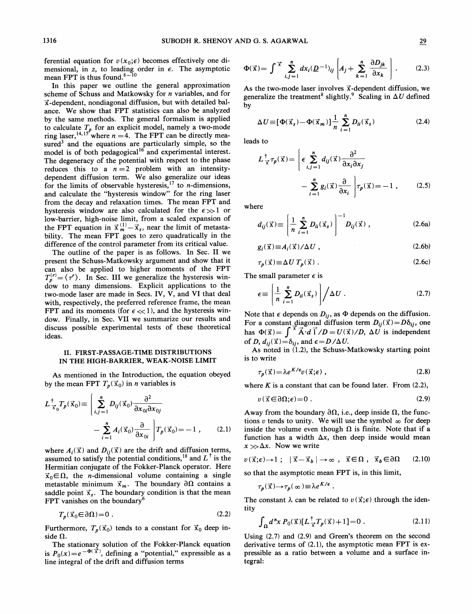ferential equation for  $v(x_0; \epsilon)$  becomes effectively one dimensional, in z, to leading order in  $\epsilon$ . The asymptotic mean FPT is thus found.

In this paper we outline the general approximation scheme of Schuss and Matkowsky for n variables, and for x-dependent, nondiagonal diffusion, but with detailed balance. We show that FPT statistics can also be analyzed by the same methods. The general formalism is applied to calculate  $T_p$  for an explicit model, namely a two-mode ring laser,<sup>14,15</sup> where  $n = 4$ . The FPT can be directly measured<sup>3</sup> and the equations are particularly simple, so the model is of both pedagogical<sup>16</sup> and experimental interest. The degeneracy of the potential with respect to the phase reduces this to a  $n = 2$  problem with an intensitydependent diffusion term. We also generalize our ideas for the limits of observable hysteresis,  $17$  to *n*-dimensions and calculate the "hysteresis window" for the ring laser from the decay and relaxation times. The mean FPT and hysteresis window are also calculated for the  $\epsilon \gg 1$  or low-barrier, high-noise limit, from a scaled expansion of low-barrier, high-noise limit, from a scaled expansion of<br>the FPT equation in  $\vec{x}_{m}^{(1)} - \vec{x}_{s}$ , near the limit of metasta bility. The mean FPT goes to zero quadratically in the difference of the control parameter from its critical value.

The outline of the paper is as follows. In Sec. II we present the Schuss-Matkowsky argument and show that it can also be applied to higher moments of the FPT  $T_p^{(r)} = \langle \tau' \rangle$ . In Sec. III we generalize the hysteresis windom to many dimensions. Explicit applications to the two-mode laser are made in Secs. IV, V, and VI that deal with, respectively, the preferred reference frame, the mean FPT and its moments (for  $\epsilon \ll 1$ ), and the hysteresis window. Finally, in Sec. VII we summarize our results and discuss possible experimental tests of these theoretical ideas.

### II. FIRST-PASSAGE-TIME DISTRIBUTIONS IN THE HIGH-BARRIER, WEAK-NOISE LIMIT

As mentioned in the Introduction, the equation obeyed by the mean FPT  $T_p(\vec{x}_0)$  in *n* variables is

$$
L\frac{1}{\vec{x}_0}T_p(\vec{x}_0) \equiv \left(\sum_{i,j=1}^n D_{ij}(\vec{x}_0) \frac{\partial^2}{\partial x_{0i} \partial x_{0j}} - \sum_{i=1}^n A_i(\vec{x}_0) \frac{\partial}{\partial x_{0i}}\right)T_p(\vec{x}_0) = -1,
$$
 (2.1)

where  $A_i(\vec{x})$  and  $D_{ii}(\vec{x})$  are the drift and diffusion terms, assumed to satisfy the potential conditions,<sup>18</sup> and  $L^{\dagger}$  is the Hermitian conjugate of the Fokker-Planck operator. Here  $\vec{x}_0 \in \Omega$ , the *n*-dimensional volume containing a single metastable minimum  $\vec{x}_m$ . The boundary  $\partial \Omega$  contains a saddle point  $\vec{x}_s$ . The boundary condition is that the mean FPT vanishes on the boundary<sup>6</sup>

$$
T_p(\vec{x}_0 \in \partial \Omega) = 0 \tag{2.2}
$$

Furthermore,  $T_p(\vec{x}_0)$  tends to a constant for  $\vec{x}_0$  deep inside  $\Omega$ .

The stationary solution of the Fokker-Planck equation is  $P_0(x)=e^{-\Phi(\vec{x})}$ , defining a "potential," expressible as a line integral of the drift and diffusion terms

$$
\Phi(\vec{x}) = \int \vec{x} \sum_{i,j=1}^{n} dx_i (\underline{D}^{-1})_{ij} \left[ A_j + \sum_{k=1}^{n} \frac{\partial D_{jk}}{\partial x_k} \right].
$$
 (2.3)

As the two-mode laser involves  $\vec{x}$ -dependent diffusion, we Example 12 and the treatment<sup>8</sup> slightly.<sup>9</sup> Scaling in  $\Delta U$  defined<br>by<br> $\Delta U \equiv [\Phi(\vec{x}_s) - \Phi(\vec{x}_m)] \frac{1}{n} \sum_{i=1}^{n} D_{ii}(\vec{x}_s)$  (2.4) by

$$
\Delta U \equiv [\Phi(\vec{x}_s) - \Phi(\vec{x}_m)] \frac{1}{n} \sum_{i=1}^{n} D_{ii}(\vec{x}_s)
$$
\n(2.4)

leads to

ı

$$
L_{\vec{x}}^{\dagger} \tau_p(\vec{x}) = \left[ \epsilon \sum_{i,j=1}^n d_{ij}(\vec{x}) \frac{\partial^2}{\partial x_i \partial x_j} - \sum_{i=1}^n g_i(\vec{x}) \frac{\partial}{\partial x_i} \right] \tau_p(\vec{x}) = -1 , \qquad (2.5)
$$

where

$$
d_{ij}(\vec{x}) \equiv \left(\frac{1}{n} \sum_{i=1}^{n} D_{ii}(\vec{x}_s)\right)^{-1} D_{ij}(\vec{x}), \qquad (2.6a)
$$

$$
\begin{aligned}\n\binom{n}{i} &= 1 \qquad \qquad \end{aligned}
$$
\n
$$
g_i(\vec{x}) \equiv A_i(\vec{x}) / \Delta U \,, \tag{2.6b}
$$
\n
$$
\tau_p(\vec{x}) \equiv \Delta U \, T_p(\vec{x}) \,. \tag{2.6c}
$$

$$
T_p(\vec{x}) \equiv \Delta U T_p(\vec{x}) \ . \tag{2.6c}
$$

The small parameter  $\epsilon$  is

$$
\epsilon \equiv \left(\frac{1}{n}\sum_{i=1}^{n}D_{ii}(\vec{x}_{s})\right)/\Delta U . \qquad (2.7)
$$

Note that  $\epsilon$  depends on  $D_{ij}$ , as  $\Phi$  depends on the diffusion. For a constant diagonal diffusion term  $D_{ij}(\vec{x})=D\delta_{ij}$ , one has  $\Phi(\vec{x}) = \int_{\vec{x}}^{\vec{x}} \vec{A} \cdot d\vec{l}/D = U(\vec{x})/D$ ,  $\Delta U$  is independent of D,  $d_{ij}(\vec{x})=\delta_{ij}$ , and  $\epsilon = D/\Delta U$ .

As noted in (1.2), the Schuss-Matkowsky starting point is to write

$$
\tau_p(\vec{x}) = \lambda e^{K/\epsilon} v(\vec{x}; \epsilon) , \qquad (2.8)
$$

where  $K$  is a constant that can be found later. From  $(2.2)$ ,

$$
v(\vec{x}\in\partial\Omega;\epsilon)=0\ .\tag{2.9}
$$

Away from the boundary  $\partial\Omega$ , i.e., deep inside  $\Omega$ , the functions v tends to unity. We will use the symbol  $\infty$  for deep inside the volume even though  $\Omega$  is finite. Note that if a function has a width  $\Delta x$ , then deep inside would mean  $x \gg \Delta x$ . Now we write

$$
v(\vec{x}; \epsilon) \to 1; \quad |\vec{x} - \vec{x}_b| \to \infty \; , \; \vec{x} \in \Omega \; , \; \vec{x}_b \in \partial \Omega \qquad (2.10)
$$

so that the asymptotic mean FPT is, in this limit,

$$
\tau_p(\vec{x}) \to \tau_p(\infty) \equiv \lambda e^{K/\epsilon}.
$$

The constant  $\lambda$  can be related to  $v(\vec{x}; \epsilon)$  through the identity

$$
\int_{\Omega} d^n x P_0(\vec{x}) [L^{\dagger}_{\vec{x}} T_p(\vec{x}) + 1] = 0.
$$
 (2.11)

Using (2.7) and (2.9) and Green's theorem on the second derivative terms of (2.1), the asymptotic mean FPT is expressible as a ratio between a volume and a surface integral: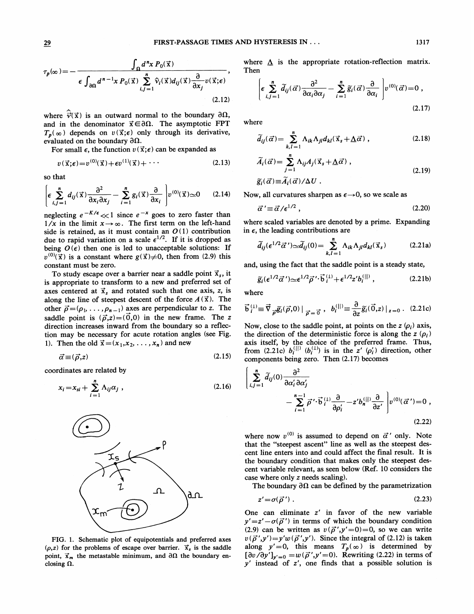$$
\tau_p(\infty) = -\frac{\int_{\Omega} d^n x P_0(\vec{x})}{\epsilon \int_{\partial \Omega} d^{n-1} x P_0(\vec{x}) \sum_{i,j=1}^n \hat{v}_i(\vec{x}) d_{ij}(\vec{x}) \frac{\partial}{\partial x_j} v(\vec{x};\epsilon)},
$$
\n(2.12)

where  $\hat{\vec{v}}(\vec{x})$  is an outward normal to the boundary  $\partial\Omega$ , and in the denominator  $\vec{x} \in \partial \Omega$ . The asymptotic FPT  $T_p(\infty)$  depends on  $v(\vec{x}; \epsilon)$  only through its derivative, evaluated on the boundary  $\partial \Omega$ .

For small  $\epsilon$ , the function  $v(\vec{x}; \epsilon)$  can be expanded as

$$
v(\vec{x}; \epsilon) = v^{(0)}(\vec{x}) + \epsilon v^{(1)}(\vec{x}) + \cdots
$$
 (2.13)

so that

$$
\left[\epsilon \sum_{i,j=1}^n d_{ij}(\vec{x}) \frac{\partial^2}{\partial x_i \partial x_j} - \sum_{i=1}^n g_i(\vec{x}) \frac{\partial}{\partial x_i}\right] v^{(0)}(\vec{x}) \approx 0 \qquad (2.14)
$$

neglecting  $e^{-K/\epsilon} \ll 1$  since  $e^{-x}$  goes to zero faster than  $1/x$  in the limit  $x \rightarrow \infty$ . The first term on the left-hand side is retained, as it must contain an  $O(1)$  contribution due to rapid variation on a scale  $\epsilon^{1/2}$ . If it is dropped as being  $O(\epsilon)$  then one is led to unacceptable solutions: If  $v^{(0)}(\vec{x})$  is a constant where  $g(\vec{x})\neq 0$ , then from (2.9) this constant must be zero.

To study escape over a barrier near a saddle point  $\vec{x}_s$ , it is appropriate to transform to a new and preferred set of axes centered at  $\vec{x}_s$  and rotated such that one axis, z, is along the line of steepest descent of the force  $A(\vec{x})$ . The other  $\vec{\rho} = (\rho_1, \ldots, \rho_{n-1})$  axes are perpendicular to z. The saddle point is  $(\vec{\rho},z)=(0,0)$  in the new frame. The z direction increases inward from the boundary so a reflection may be necessary for acute rotation angles (see Fig. 1). Then the old  $\vec{x} = (x_1, x_2, \dots, x_n)$  and new tion increases inward from the boundary so a reflec-<br>may be necessary for acute rotation angles (see Fig.<br>Then the old  $\vec{x} = (x_1, x_2, ..., x_n)$  and new<br> $\vec{\alpha} \equiv (\vec{\rho}, z)$  (2.15)

$$
\vec{\alpha} \equiv (\vec{\rho}, z) \tag{2.15}
$$

coordinates are related by

$$
x_i = x_{si} + \sum_{i=1}^{n} \Lambda_{ij} \alpha_j \tag{2.16}
$$



FIG. 1. Schematic plot of equipotentials and preferred axes  $(\rho, z)$  for the problems of escape over barrier.  $\vec{x}_s$  is the saddle point,  $\vec{x}_m$  the metastable minimum, and  $\partial\Omega$  the boundary enclosing  $\Omega$ .

where  $\Lambda$  is the appropriate rotation-reflection matrix. Then

$$
\left[\epsilon \sum_{i,j=1}^{n} \widetilde{d}_{ij}(\vec{\alpha}) \frac{\partial^2}{\partial \alpha_i \partial \alpha_j} - \sum_{i=1}^{n} \widetilde{g}_i(\vec{\alpha}) \frac{\partial}{\partial \alpha_i}\right] v^{(0)}(\vec{\alpha}) = 0,
$$
\n(2.17)

where

$$
\widetilde{d}_{ij}(\vec{\alpha}) = \sum_{k,l=1}^{n} \Lambda_{ik} \Lambda_{jl} d_{kl}(\vec{x}_s + \underline{\Lambda} \vec{\alpha}) , \qquad (2.18)
$$

$$
\widetilde{A}_{i}(\vec{\alpha}) = \sum_{j=1}^{n} \Lambda_{ij} A_{j}(\vec{x}_{s} + \underline{\Lambda}\vec{\alpha}) ,
$$
\n
$$
\widetilde{g}_{i}(\vec{\alpha}) = \widetilde{A}_{i}(\vec{\alpha})/\Delta U .
$$
\n(2.19)

Now, all curvatures sharpen as  $\epsilon \rightarrow 0$ , so we scale as

$$
\vec{\alpha}' \equiv \vec{\alpha}/\epsilon^{1/2} , \qquad (2.20)
$$

where scaled variables are denoted by a prime. Expanding in  $\epsilon$ , the leading contributions are

$$
\widetilde{d}_{ij}(\epsilon^{1/2}\vec{\alpha}') \sim \widetilde{d}_{ij}(0) = \sum_{k,l=1}^{n} \Lambda_{ik} \Lambda_{jl} d_{kl}(\vec{x}_s)
$$
 (2.21a)

and, using the fact that the saddle point is a steady state,

$$
\widetilde{g}_i(\epsilon^{1/2}\vec{\alpha}') \simeq \epsilon^{1/2}\vec{\rho}' \cdot \vec{b}_i^{(1)} + \epsilon^{1/2}z'b_i^{(|l|)}, \qquad (2.21b)
$$

where

$$
\widetilde{g}_i(\epsilon^{1/2}\vec{\alpha}') \simeq \epsilon^{1/2}\vec{\rho}' \cdot \mathbf{b}_i^{(1)} + \epsilon^{1/2}z'b_i^{(||)}, \qquad (2.21b)
$$
\nwhere\n
$$
\vec{\mathbf{b}}_i^{(1)} \equiv \vec{\nabla}_{\vec{\rho}} \widetilde{g}_i(\vec{\rho}, 0) \mid_{\vec{\rho} = \vec{0}}, \quad b_i^{(||)} \equiv \frac{\partial}{\partial z} \widetilde{g}_i(\vec{0}, z) \mid_{z=0}. \quad (2.21c)
$$

Now, close to the saddle point, at points on the  $z(\rho_i)$  axis, the direction of the deterministic force is along the  $z(\rho_i)$ axis itself, by the choice of the preferred frame. Thus, from (2.21c)  $b_i^{(\parallel)}$  ( $b_i^{(\perp)}$ ) is in the z' ( $\rho'_i$ ) direction, other components being zero. Then (2.17) becomes

$$
\begin{aligned}\n&\left|\sum_{i,j=1}^{n} \widetilde{d}_{ij}(0) \frac{\partial^2}{\partial \alpha'_i \partial \alpha'_j} - \sum_{i=1}^{n-1} \overrightarrow{\rho}' \cdot \overrightarrow{b}_i^{(1)} \frac{\partial}{\partial \rho'_i} - z' b_n^{(|i|)} \frac{\partial}{\partial z'} \right| v^{(0)}(\vec{\alpha}') &= 0 ,\n\end{aligned}
$$
\n(2.22)

where now  $v^{(0)}$  is assumed to depend on  $\vec{\alpha}'$  only. Note that the "steepest ascent" line as well as the steepest descent line enters into and could affect the final result. It is the boundary condition that makes only the steepest descent variable relevant, as seen below (Ref. 10 considers the case where only z needs scaling).

The boundary  $\partial \Omega$  can be defined by the parametrization

$$
z' = \sigma(\vec{\rho}^{\,\prime})\,. \tag{2.23}
$$

One can eliminate z' in favor of the new variable  $y' = z' - \sigma(\vec{\rho}')$  in terms of which the boundary condition (2.9) can be written as  $v(\vec{p}', y'=0)=0$ , so we can write  $v(\vec{\rho}', y') = y'w(\vec{\rho}', y')$ . Since the integral of (2.12) is taken along  $y' = 0$ , this means  $T_p(\infty)$  is determined by  $[\partial v/\partial y']_{y'=0} = w(\vec{\rho}', y'=0)$ . Rewriting (2.22) in terms of y' instead of z', one finds that a possible solution is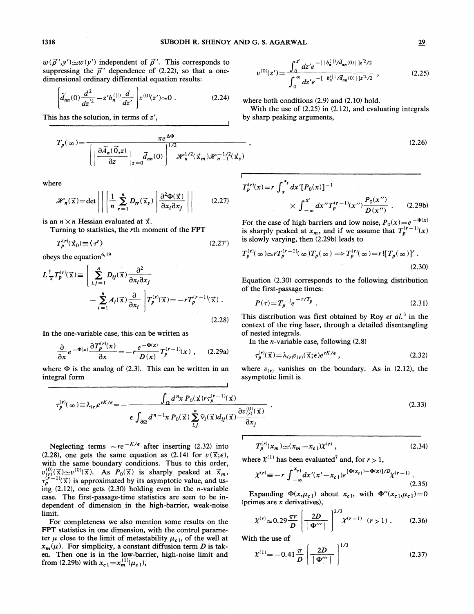$\ddot{\phantom{0}}$ 

 $w(\vec{\rho}', y') \simeq w(y')$  independent of  $\vec{\rho}'$ . This corresponds to suppressing the  $\vec{\rho}$ ' dependence of (2.22), so that a onedimensional ordinary differential equation results:

$$
\left[\tilde{d}_{nn}(0)\frac{d^2}{dz^{'2}} - z'b_n^{(|l|)}\frac{d}{dz'}\right]v^{(0)}(z')\approx 0\ .\tag{2.24}
$$

This has the solution, in terms of z',

$$
T_p(\infty) = \frac{\pi e^{\Delta \Phi}}{\left( \left| \frac{\partial \widetilde{A}_n(\vec{0}, z)}{\partial z} \right|_{z=0} \widetilde{d}_m(0) \right)^{1/2} \mathcal{H}_n^{1/2}(\vec{x}_m) \mathcal{H}_{n-1}^{-1/2}(\vec{x}_s)}
$$

where

$$
\mathscr{H}_n(\vec{x}) = \det \left| \left| \left( \frac{1}{n} \sum_{r=1}^n D_{rr}(\vec{x}_s) \right) \frac{\partial^2 \Phi(\vec{x})}{\partial x_i \partial x_j} \right| \right| \tag{2.27}
$$

is an  $n \times n$  Hessian evaluated at  $\vec{x}$ .

Turning to statistics, the *r*th moment of the FPT  
\n
$$
T_p^{(r)}(\vec{x}_0) \equiv \langle \tau' \rangle
$$
\n(2.27')

obeys the equation<sup>6, 1</sup>

$$
L_{\vec{x}}^{\dagger} T_p^{(r)}(\vec{x}) \equiv \left( \sum_{i,j=1}^n D_{ij}(\vec{x}) \frac{\partial^2}{\partial x_i \partial x_j} - \sum_{i=1}^n A_i(\vec{x}) \frac{\partial}{\partial x_i} \right) T_p^{(r)}(\vec{x}) = -r T_p^{(r-1)}(\vec{x}) .
$$
\n(2.28)

In the one-variable case, this can be written as

$$
\frac{\partial}{\partial x}e^{-\Phi(x)}\frac{\partial T_p^{(r)}(x)}{\partial x} = -r\frac{e^{-\Phi(x)}}{D(x)}T_p^{(r-1)}(x) ,\qquad (2.29a)
$$

where  $\Phi$  is the analog of (2.3). This can be written in an integral form

$$
v^{(0)}(z') = \frac{\int_0^{z'} dz' e^{-\left[ \left. \left. \right| b_n^{(0)} \right| / \tilde{d}_{nn}(0) \right| \left. \right| z'^2 / 2}}{\int_0^{\infty} dz' e^{-\left[ \left. \left| b_n^{(0)} \right| / \tilde{d}_{nn}(0) \right| \left. \right| z'^2 / 2}}, \qquad (2.25)
$$

where both conditions  $(2.9)$  and  $(2.10)$  hold.

With the use of (2.25) in (2.12), and evaluating integrals by sharp peaking arguments,

$$
(2.26)
$$

$$
T_p^{(r)}(x) = r \int_x^{x_s} dx' [P_0(x)]^{-1}
$$
  
 
$$
\times \int_{-\infty}^{x'} dx'' T_p^{(r-1)}(x'') \frac{P_0(x'')}{D(x'')} . \qquad (2.29b)
$$

For the case of high barriers and low noise,  $P_0(x)=e^{-\Phi(x)}$ is sharply peaked at  $x_m$ , and if we assume that  $T_p^{(r-1)}(x)$ is slowly varying, then (2.29b) leads to

$$
T_p^{(r)}(\infty) \simeq r T_p^{(r-1)}(\infty) T_p(\infty) \Longrightarrow T_p^{(r)}(\infty) = r! [T_p(\infty)]^r.
$$
\n(2.30)

Equation (2.30) corresponds to the following distribution of the first-passage times:

$$
P(\tau) = T_p^{-1} e^{-\tau/T_p} \tag{2.31}
$$

This distribution was first obtained by Roy et  $al.$ <sup>3</sup> in the context of the ring laser, through a detailed disentangling of nested integrals.

In the *n*-variable case, following  $(2.8)$ 

$$
\tau_p^{(r)}(\vec{x}) = \lambda_{(r)} v_{(r)}(\vec{x}; \epsilon) e^{rK/\epsilon} \,, \tag{2.32}
$$

where  $v_{(r)}$  vanishes on the boundary. As in (2.12), the asymptotic limit is

$$
\tau_p^{(r)}(\infty) \equiv \lambda_{(r)} e^{rK/\epsilon} = -\frac{\int_{\Omega} d^n x \, P_0(\vec{x}) r \tau_p^{(r-1)}(\vec{x})}{\epsilon \int_{\partial \Omega} d^{n-1} x \, P_0(\vec{x}) \sum_{i,j}^n \hat{v}_i(\vec{x}) d_{ij}(\vec{x}) \frac{\partial v_{(r)}^{(0)}(\vec{x})}{\partial x_j}} \, . \tag{2.33}
$$

Neglecting terms  $\sim r e^{-K/\epsilon}$  after inserting (2.32) into (2.28), one gets the same equation as (2.14) for  $v(\vec{x}; \epsilon)$ , with the same boundary conditions. Thus to this order,  $v_{(r)}^{(0)}(\vec{x}) \simeq v^{(0)}(\vec{x})$ . As  $P_0(\vec{x})$  is sharply peaked at  $\vec{x}_m$ ,  $(\vec{x})$  is approximated by its asymptotic value, and using  $(2.12)$ , one gets  $(2.30)$  holding even in the *n*-variable case. The first-passage-time statistics are seen to be independent of dimension in the high-barrier, weak-noise limit.

For completeness we also mention some results on the FPT statistics in one dimension, with the control parameter  $\mu$  close to the limit of metastability  $\mu_{c1}$ , of the well at  $x_m(\mu)$ . For simplicity, a constant diffusion term D is taken. Then one is in the low-barrier, high-noise limit and from (2.29b) with  $x_{c} = x_m^{(1)}(\mu_{c1})$ ,

$$
T_p^{(r)}(x_m) \simeq (x_m - x_{c1}) \chi^{(r)} \,, \tag{2.34}
$$

where  $\chi^{(1)}$  has been evaluated<sup>7</sup> and, for  $r > 1$ ,

$$
\chi^{(r)} \equiv -r \int_{-\infty}^{x_{c1}} dx'(x'-x_{c1}) e^{[\Phi(x_{c1})-\Phi(x)]/D} \chi^{(r-1)}.
$$
\n(2.35)

2/3 Expanding  $\Phi(x,\mu_{c1})$  about  $x_{c1}$ , with  $\Phi''(x_{c1},\mu_{c1}) = 0$ (primes are  $x$  derivatives),

$$
\chi^{(r)} \approx 0.29 \frac{\pi r}{D} \left[ \frac{2D}{|\Phi''|} \right]^{2/3} \chi^{(r-1)} \quad (r > 1) \ . \tag{2.36}
$$

With the use of

$$
\chi^{(1)} = -0.41 \frac{\pi}{D} \left( \frac{2D}{|\Phi'''|} \right)^{1/3}
$$
 (2.37)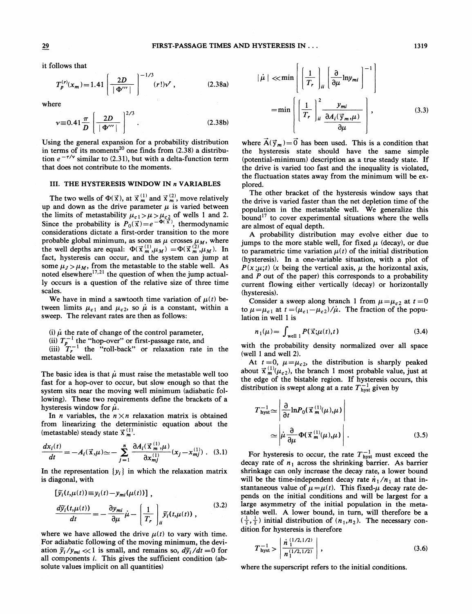it follows that

$$
T_p^{(r)}(x_m) = 1.41 \left[ \frac{2D}{|\Phi'''|} \right]^{-1/3} (r!) \nu^r , \qquad (2.38a)
$$

where

$$
\left[\begin{array}{c}|\Phi^{\cdots}|\end{array}\right]
$$
  
tree  

$$
v \equiv 0.41 \frac{\pi}{D} \left[\frac{2D}{|\Phi^{\prime\prime}|}\right]^{2/3}.
$$
 (2.38b)

Using the general expansion for a probability distribution in terms of its moments<sup>20</sup> one finds from  $(2.38)$  a distribution  $e^{-\tau/\nu}$  similar to (2.31), but with a delta-function term that does not contribute to the moments.

## III. THE HYSTERESIS WINDOW IN <sup>n</sup> VARIABLES

The two wells of  $\Phi(\vec{x})$ , at  $\vec{x}^{(1)}_m$  and  $\vec{x}^{(2)}_m$ , move relatively up and down as the drive parameter  $\mu$  is varied between the limits of metastability  $\mu_{c,1} > \mu > \mu_{c,2}$  of wells 1 and 2.<br>Since the probability is  $P_0(\vec{x}) = e^{-\Phi(\vec{x})}$ , thermodynamic considerations dictate a first-order transition to the more probable global minimum, as soon as  $\mu$  crosses  $\mu_M$ , where the well depths are equal:  $\Phi(\vec{x}_m^{(1)}, \mu_M) = \Phi(\vec{x}_m^{(2)}, \mu_M)$ . In fact, hysteresis can occur, and the system can jump at some  $\mu_J > \mu_M$ , from the metastable to the stable well. As noted elsewhere<sup>17,21</sup> the question of when the jump actually occurs is a question of the relative size of three time scales.

We have in mind a sawtooth time variation of  $\mu(t)$  between limits  $\mu_{c1}$  and  $\mu_{c2}$ , so  $\mu$  is a constant, within a sweep. The relevant rates are then as follows:

(i)  $\mu$  the rate of change of the control parameter,

(ii)  $T_p^{-1}$  the "hop-over" or first-passage rate, and

 $\lim_{T_r^{-1}}$  the "roll-back" or relaxation rate in the metastable well.

The basic idea is that  $\mu$  must raise the metastable well too fast for a hop-over to occur, but slow enough so that the system sits near the moving well minimum (adiabatic following). These two requirements define the brackets of a hysteresis window for  $\mu$ .

In *n* variables, the  $n \times n$  relaxation matrix is obtained from linearizing the deterministic equation about the (metastable) steady state  $\vec{x}^{(1)}_{m}$ .

$$
\frac{dx_i(t)}{dt} = -A_i(\vec{x}, \mu) \approx -\sum_{j=1}^n \frac{\partial A_i(\vec{x}_m^{(1)}, \mu)}{\partial x_{mj}^{(1)}}(x_j - x_{mj}^{(1)}) \quad (3.1)
$$

In the representation  $\{y_i\}$  in which the relaxation matrix is diagonal, with

$$
\begin{aligned} \left[ \widetilde{y}_i(t,\mu(t)) \equiv y_i(t) - y_{mi}(\mu(t)) \right], \\ \frac{d\widetilde{y}_i(t,\mu(t))}{dt} = -\frac{\partial y_{mi}}{\partial \mu} \dot{\mu} - \left[ \frac{1}{T_r} \right] \widetilde{y}_i(t,\mu(t)) \;, \end{aligned} \tag{3.2}
$$

where we have allowed the drive  $\mu(t)$  to vary with time. For adiabatic following of the moving minimum, the deviation  $\tilde{y}_i/y_{mi} \ll 1$  is small, and remains so,  $d\tilde{y}_i/dt = 0$  for all components i. This gives the sufficient condition (absolute values implicit on all quantities)

$$
|\dot{\mu}| \ll \min\left[\left(\frac{1}{T_r}\right)_{ii} \left(\frac{\partial}{\partial \mu} \ln y_{mi}\right)^{-1}\right]
$$

$$
= \min\left[\left(\frac{1}{T_r}\right)_{ii}^{2} \frac{y_{mi}}{\frac{\partial A_i(\vec{y}_m,\mu)}{\partial \mu}}\right],
$$
(3.3)

where  $\vec{A}(\vec{y}_m) = \vec{0}$  has been used. This is a condition that the hysteresis state should have the same simple (potential-minimum) description as a true steady state. If the drive is varied too fast and the inequality is violated, the fluctuation states away from the minimum will be explored.

The other bracket of the hysteresis window says that the drive is varied faster than the net depletion time of the population in the metastable well. We generalize this bound<sup>17</sup> to cover experimental situations where the wells are almost of equal depth.

A probability distribution may evolve either due to jumps to the more stable well, for fixed  $\mu$  (decay), or due to parametric time variation  $\mu(t)$  of the initial distribution (hysteresis). In a one-variable situation, with a plot of  $P(x;\mu;t)$  (x being the vertical axis,  $\mu$  the horizontal axis, and  $P$  out of the paper) this corresponds to a probability current flowing either vertically (decay) or horizontally (hysteresis).

Consider a sweep along branch 1 from  $\mu = \mu_{c2}$  at  $t = 0$ to  $\mu = \mu_{c1}$  at  $t = (\mu_{c1} - \mu_{c2})/\mu$ . The fraction of the population in well 1 is

$$
n_1(\mu) = \int_{\text{well } 1} P(\vec{x}; \mu(t), t) \tag{3.4}
$$

with the probability density normalized over all space (well <sup>1</sup> and well 2).

At  $t = 0$ ,  $\mu = \mu_{c2}$ , the distribution is sharply peaked about  $\vec{x}^{(1)}_{m}(\mu_{c2})$ , the branch 1 most probable value, just at the edge of the bistable region. If hysteresis occurs, this distribution is swept along at a rate  $T_{\text{hyst}}^{-1}$  given by

$$
T_{\text{hyst}}^{-1} \simeq \left| \frac{\partial}{\partial t} \ln P_0(\vec{x}_{m}^{(1)}(\mu), \mu) \right|
$$
  
 
$$
\simeq \left| \mu \frac{\partial}{\partial \mu} \Phi(\vec{x}_{m}^{(1)}(\mu), \mu) \right|.
$$
 (3.5)

For hysteresis to occur, the rate  $T_{\text{hyst}}^{-1}$  must exceed the decay rate of  $n_1$  across the shrinking barrier. As barrier shrinkage can only increase the decay rate, a lower bound will be the time-independent decay rate  $n_1/n_1$  at that instantaneous value of  $\mu=\mu(t)$ . This fixed- $\mu$  decay rate depends on the initial conditions and will be largest for a large asymmetry of the initial population in the metastable well. A lower bound, in turn, will therefore be a 'table well. A lower bound, in turn, will therefore be a  $\frac{1}{2}$ ,  $\frac{1}{2}$ ) initial distribution of  $(n_1, n_2)$ . The necessary condition for hysteresis is therefore

$$
T_{\text{hyst}}^{-1} > \left| \frac{\dot{n}_{1}^{(1/2,1/2)}}{n_{1}^{(1/2,1/2)}} \right| , \tag{3.6}
$$

where the superscript refers to the initial conditions.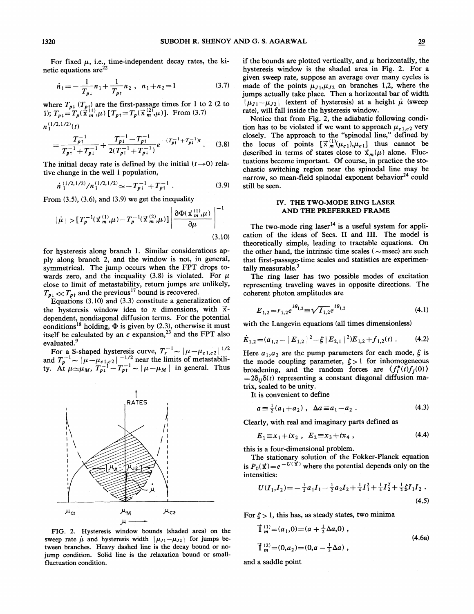$$
\dot{n}_1 = -\frac{1}{T_{p1}} n_1 + \frac{1}{T_{p1}} n_2 \ , \ n_1 + n_2 = 1 \tag{3.7}
$$

where  $T_{p\downarrow}$   $(T_{p\uparrow})$  are the first-passage times for 1 to 2 (2 to 1);  $T_{p\downarrow} = T_p(\vec{x}_m^{(1)},\mu)$  [ $T_{p\uparrow} = T_p(\vec{x}_m^{(2)},\mu)$ ]. From (3.7)  $n_1^{(1/2, 1/2)}(t)$ 

$$
=\frac{T_{p\uparrow}^{-1}}{T_{p\uparrow}^{-1}+T_{p\downarrow}^{-1}}+\frac{T_{p\downarrow}^{-1}-T_{p\uparrow}^{-1}}{2(T_{p\uparrow}^{-1}+T_{p\downarrow}^{-1})}e^{-(T_{p\uparrow}^{-1}+T_{p\downarrow}^{-1})t}.
$$
 (3.8)

The initial decay rate is defined by the initial  $(t\rightarrow 0)$  relative change in the well 1 population,

$$
\dot{n}_1^{(1/2,1/2)}/n_1^{(1/2,1/2)} \simeq -T_{p_1}^{-1} + T_{p_1}^{-1} \tag{3.9}
$$

From  $(3.5)$ ,  $(3.6)$ , and  $(3.9)$  we get the inequality

$$
|\mu| > [T_p^{-1}(\vec{x}_m^{(1)}, \mu) - T_p^{-1}(\vec{x}_m^{(2)}, \mu)] \left| \frac{\partial \Phi(\vec{x}_m^{(1)}, \mu)}{\partial \mu} \right|^{-1}
$$
\n(3.10)

for hysteresis along branch 1. Similar considerations apply along branch 2, and the window is not, in general, symmetrical. The jump occurs when the FPT drops towards zero, and the inequality (3.8) is violated. For  $\mu$ close to limit of metastability, return jumps are unlikely,  $T_{p\downarrow} \ll T_{p\uparrow}$  and the previous<sup>17</sup> bound is recovered.

Equations (3.10) and (3.3) constitute a generalization of the hysteresis window idea to *n* dimensions, with  $\vec{x}$ dependent, nondiagonal diffusion terms. For the potential conditions<sup>18</sup> holding,  $\Phi$  is given by (2.3), otherwise it must itself be calculated by an  $\epsilon$  expansion,<sup>23</sup> and the FPT also evaluated.<sup>9</sup>

For a S-shaped hysteresis curve,  $T_r^{-1} \sim |\mu - \mu_{c1,c2}|^{1/2}$ and  $T_p^{-1} \sim |\mu - \mu_{c_1,c_2}|^{-1/2}$  near the limits of metastability. At  $\mu \simeq |\mu - \mu_{c_1,c_2}|$  hear the finites of inclusion-<br>ty. At  $\mu \simeq \mu_M$ ,  $T_{p_1}^{-1} - T_{p_1}^{-1} \sim |\mu - \mu_M|$  in general. Thus

FIG. 2. Hysteresis window bounds (shaded area) on the sweep rate  $\mu$  and hysteresis width  $|\mu_{J1} - \mu_{J2}|$  for jumps between branches. Heavy dashed line is the decay bound or nojump condition. Solid line is the relaxation bound or smallfluctuation condition.

if the bounds are plotted vertically, and  $\mu$  horizontally, the hysteresis window is the shaded area in Fig. 2. For a given sweep rate, suppose an average over many cycles is made of the points  $\mu_{J_1}, \mu_{J_2}$  on branches 1,2, where the jumps actually take place. Then a horizontal bar of width  $|\mu_{J1} - \mu_{J2}|$  (extent of hysteresis) at a height  $\mu$  (sweep rate), will fall inside the hysteresis window.

Notice that from Fig. 2, the adiabatic following condition has to be violated if we want to approach  $\mu_{c1,c2}$  very closely. The approach to the "spinodal line," defined by closely. The approach to the "spinodal line," defined by the locus of points  $[\vec{x}_m^{(1)}(\mu_{c_1}), \mu_{c_1}]$  thus cannot be described in terms of states close to  $\vec{x}_m(\mu)$  alone. Fluctuations become important. Of course, in practice the stochastic switching region near the spinodal line may be narrow, so mean-field spinodal exponent behavior<sup>24</sup> could still be seen.

### IV. THE TWO-MODE RING LASER AND THE PREFERRED FRAME

The two-mode ring laser<sup>14</sup> is a useful system for application of the ideas of Secs. II and III. The model is theoretically simple, leading to tractable equations. On the other hand, the intrinsic time scales ( $\sim$ msec) are such that first-passage-time scales and statistics are experimentally measurable. $3$ 

The ring laser has two possible modes of excitation representing traveling waves in opposite directions. The coherent photon amplitudes are

$$
E_{1,2} = r_{1,2} e^{i\theta_{1,2}} \equiv \sqrt{I_{1,2}} e^{i\theta_{1,2}} \tag{4.1}
$$

with the Langevin equations (all times dimensionless)

$$
\dot{E}_{1,2} = (a_{1,2} - |E_{1,2}|^2 - \xi |E_{2,1}|^2)E_{1,2} + f_{1,2}(t).
$$
 (4.2)

Here  $a_1, a_2$  are the pump parameters for each mode,  $\xi$  is the mode coupling parameter,  $\xi > 1$  for inhomogeneous the mode coupling parameter,  $\zeta > 1$  for immomogeneous<br>proadening, and the random forces are  $\langle f_i^*(t)f_j(0) \rangle$  $=2\delta_{ij}\delta(t)$  representing a constant diagonal diffusion matrix, scaled to be unity.

It is convenient to define

$$
a \equiv \frac{1}{2}(a_1 + a_2), \ \ \Delta a \equiv a_1 - a_2. \tag{4.3}
$$

Clearly, with real and imaginary parts defined as

$$
E_1 \equiv x_1 + ix_2 \; , \; E_2 \equiv x_3 + ix_4 \; , \tag{4.4}
$$

this is a four-dimensional problem.

The stationary solution of the Fokker-Planck equation is  $P_0(\vec{x}) = e^{-U(\vec{x})}$  where the potential depends only on the intensities:

$$
U(I_1,I_2) = -\frac{1}{2}a_1I_1 - \frac{1}{2}a_2I_2 + \frac{1}{4}I_1^2 + \frac{1}{4}I_2^2 + \frac{1}{2}\xi I_1I_2
$$
\n(4.5)

For  $\xi > 1$ , this has, as steady states, two minima

$$
\vec{1}_{m}^{(1)} = (a_{1}, 0) = (a + \frac{1}{2}\Delta a, 0) ,
$$
\n
$$
\vec{1}_{m}^{(2)} = (0, a_{2}) = (0, a - \frac{1}{2}\Delta a) ,
$$
\n(4.6a)

and a saddle point

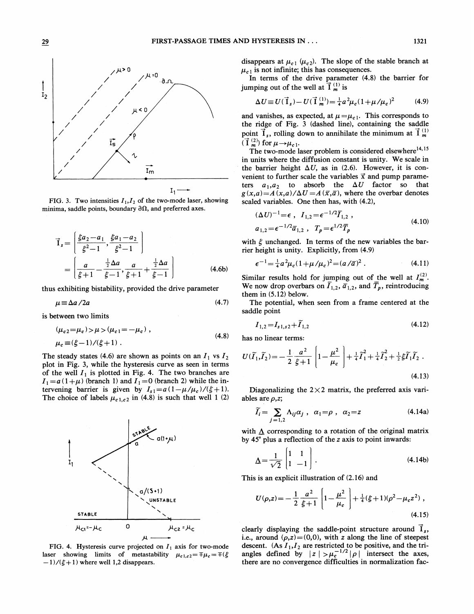

FIG. 3. Two intensities  $I_1, I_2$  of the two-mode laser, showing minima, saddle points, boundary  $\partial\Omega$ , and preferred axes.

$$
\vec{I}_s = \left[ \frac{\xi a_2 - a_1}{\xi^2 - 1}, \frac{\xi a_1 - a_2}{\xi^2 - 1} \right]
$$
  
= 
$$
\left[ \frac{a}{\xi + 1} - \frac{\frac{1}{2} \Delta a}{\xi - 1}, \frac{a}{\xi + 1} + \frac{\frac{1}{2} \Delta a}{\xi - 1} \right]
$$
(4.6b)

thus exhibiting bistability, provided the drive parameter

$$
\mu \equiv \Delta a / 2a \tag{4.7}
$$

is between two limits

$$
(\mu_{c2} = \mu_c) > \mu > (\mu_{c1} = -\mu_c),
$$
  
\n
$$
\mu_c \equiv (\xi - 1) / (\xi + 1).
$$
\n(4.8)

The steady states (4.6) are shown as points on an  $I_1$  vs  $I_2$ plot in Fig. 3, while the hysteresis curve as seen in terms of the well  $I_1$  is plotted in Fig. 4. The two branches are  $I_1 = a(1+\mu)$  (branch 1) and  $I_1 = 0$  (branch 2) while the intervening barrier is given by  $I_{s1} = a(1 - \mu/\mu_c)/(\xi + 1)$ . The choice of labels  $\mu_{c}$ <sub>1,c2</sub> in (4.8) is such that well 1 (2)



FIG. 4. Hysteresis curve projected on  $I_1$  axis for two-mode laser showing limits of metastability  $\mu_{c1,c2} = \mp \mu_c = \mp (\xi -1)/(\xi + 1)$  where well 1,2 disappears.

disappears at  $\mu_{c1}$  ( $\mu_{c2}$ ). The slope of the stable branch at  $u_{c1}$  is not infinite; this has consequences

In terms of the drive parameter (4.8) the barrier for jumping out of the well at  $\vec{I}^{(1)}_{m}$  is

$$
\Delta U \equiv U(\vec{1}_s) - U(\vec{1}^{(1)}_m) = \frac{1}{4}a^2 \mu_c (1 + \mu/\mu_c)^2 \tag{4.9}
$$

and vanishes, as expected, at  $\mu = \mu_{c1}$ . This corresponds to the ridge of Fig. 3 (dashed line), containing the saddle point  $\vec{I}_s$ , rolling down to annihilate the minimum at  $\vec{I}_m^{(1)}$  $(\vec{I}^{(2)}_m)$  for  $\mu \rightarrow \mu_{c1}$ .

The two-mode laser problem is considered elsewhere<sup>14,15</sup> in units where the diffusion constant is unity. We scale in the barrier height  $\Delta U$ , as in (2.6). However, it is convenient to further scale the variables  $\vec{x}$  and pump parameters  $a_1, a_2$  to absorb the  $\Delta U$  factor so that  $g(x,a) = A(x,a)/\Delta U = A(\overline{x}, \overline{a})$ , where the overbar denotes scaled variables. One then has, with (4.2),

$$
(\Delta U)^{-1} = \epsilon \ , \ I_{1,2} = \epsilon^{-1/2} \overline{I}_{1,2} \ ,
$$
  
\n
$$
a_{1,2} = \epsilon^{-1/2} \overline{a}_{1,2} \ , \ T_p = \epsilon^{1/2} \overline{T}_p
$$
\n(4.10)

with  $\xi$  unchanged. In terms of the new variables the barrier height is unity. Explicitly, from (4.9)

$$
\epsilon^{-1} = \frac{1}{4} a^2 \mu_c (1 + \mu / \mu_c)^2 = (a / \overline{a})^2 \ . \tag{4.11}
$$

Similar results hold for jumping out of the well at  $I_m^{(2)}$ . We now drop overbars on  $\overline{I}_{1,2}$ ,  $\overline{a}_{1,2}$ , and  $\overline{T}_p$ , reintroducing them in (5.12) below.

The potential, when seen from a frame centered at the saddle point

$$
I_{1,2} = I_{s1,s2} + \widetilde{I}_{1,2} \tag{4.12}
$$

has no linear terms:

$$
U(\widetilde{I}_1, \widetilde{I}_2) = -\frac{1}{2} \frac{a^2}{\xi + 1} \left[ 1 - \frac{\mu^2}{\mu_c} \right] + \frac{1}{4} \widetilde{I}_1^2 + \frac{1}{4} \widetilde{I}_2^2 + \frac{1}{2} \xi \widetilde{I}_1 \widetilde{I}_2 .
$$
\n(4.13)

Diagonalizing the  $2\times2$  matrix, the preferred axis variables are  $\rho, z;$ 

$$
\widetilde{I}_i = \sum_{j=1,2} \Lambda_{ij} \alpha_j , \quad \alpha_1 = \rho , \quad \alpha_2 = z \tag{4.14a}
$$

with  $\Delta$  corresponding to a rotation of the original matrix by 45' plus a reflection of the z axis to point inwards:

$$
\Delta = \frac{1}{\sqrt{2}} \begin{bmatrix} 1 & 1 \\ 1 & -1 \end{bmatrix} .
$$
 (4.14b)

This is an explicit illustration of (2.16) and

$$
U(\rho,z) = -\frac{1}{2} \frac{a^2}{\xi + 1} \left[ 1 - \frac{\mu^2}{\mu_c} \right] + \frac{1}{4} (\xi + 1)(\rho^2 - \mu_c z^2) ,
$$
\n(4.15)

clearly displaying the saddle-point structure around  $\vec{I}_s$ , i.e., around  $(\rho, z) = (0, 0)$ , with z along the line of steepest descent. (As  $I_1, I_2$  are restricted to be positive, and the triangles defined by  $|z| > \mu_c^{-1/2} |\rho|$  intersect the axes, there are no convergence difficulties in normalization fac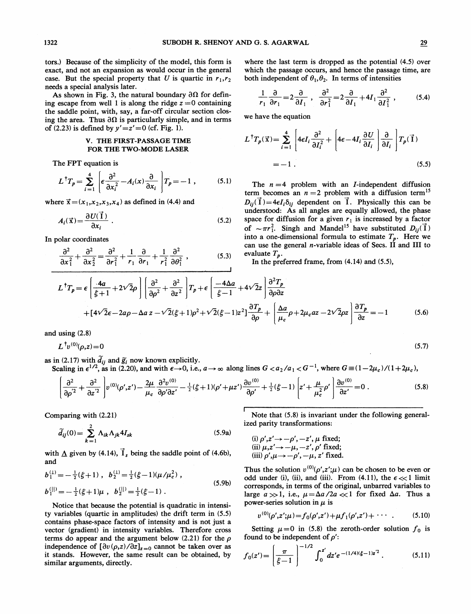tors.) Because of the simplicity of the model, this form is exact, and not an expansion as would occur in the general case. But the special property that U is quartic in  $r_1,r_2$ needs a special analysis later.

As shown in Fig. 3, the natural boundary  $\partial\Omega$  for defining escape from well 1 is along the ridge  $z = 0$  containing the saddle point, with, say, a far-off circular section closing the area. Thus  $\partial\Omega$  is particularly simple, and in terms of (2.23) is defined by  $y' = z' = 0$  (cf. Fig. 1).

#### V. THE FIRST-PASSAGE TIME FOR THE TWO-MODE LASER

The FPT equation is

$$
L^{\dagger}T_{p} = \sum_{i=1}^{4} \left[ \epsilon \frac{\partial^{2}}{\partial x_{i}^{2}} - A_{i}(x) \frac{\partial}{\partial x_{i}} \right] T_{p} = -1 , \qquad (5.1)
$$

where  $\vec{x} = (x_1, x_2, x_3, x_4)$  as defined in (4.4) and

$$
A_i(\vec{x}) = \frac{\partial U(\vec{1})}{\partial x_i} \tag{5.2}
$$

In polar coordinates

$$
\frac{\partial^2}{\partial x_1^2} + \frac{\partial^2}{\partial x_2^2} = \frac{\partial^2}{\partial r_1^2} + \frac{1}{r_1} \frac{\partial}{\partial r_1} + \frac{1}{r_1^2} \frac{\partial^2}{\partial \theta_1^2} , \qquad (5.3)
$$

where the last term is dropped as the potential (4.5) over which the passage occurs, and hence the passage time, are both independent of 
$$
\theta_1, \theta_2
$$
. In terms of intensities

$$
\frac{1}{r_1} \frac{\partial}{\partial r_1} = 2 \frac{\partial}{\partial T_1} , \quad \frac{\partial^2}{\partial r_1^2} = 2 \frac{\partial}{\partial T_1} + 4T_1 \frac{\partial^2}{\partial T_1^2} , \quad (5.4)
$$

we have the equation

$$
L^{\dagger}T_p(\vec{x}) = \sum_{i=1}^{4} \left[ 4\epsilon I_i \frac{\partial^2}{\partial I_i^2} + \left[ 4\epsilon - 4I_i \frac{\partial U}{\partial I_i} \right] \frac{\partial}{\partial I_i} \right] T_p(\vec{1})
$$
  
= -1. (5.5)

The  $n = 4$  problem with an *I*-independent diffusion term becomes an  $n = 2$  problem with a diffusion term<sup>15</sup>  $D_{ij}(\vec{I}) = 4\epsilon I_i \delta_{ij}$  dependent on  $\vec{I}$ . Physically this can be understood: As all angles are equally allowed, the phase space for diffusion for a given  $r_1$  is increased by a factor of  $\sim \pi r_1^2$ . Singh and Mandel<sup>15</sup> have substituted  $D_{ij}(\vec{1})$ into a one-dimensional formula to estimate  $T_p$ . Here we can use the general *n*-variable ideas of Secs. II and III to evaluate  $T_p$ .

In the preferred frame, from (4.14) and (5.5),

$$
L^{\dagger}T_{p} = \epsilon \left[ \frac{4a}{\xi + 1} + 2\sqrt{2}\rho \right] \left[ \frac{\partial^{2}}{\partial \rho^{2}} + \frac{\partial^{2}}{\partial z^{2}} \right] T_{p} + \epsilon \left[ \frac{-4\Delta a}{\xi - 1} + 4\sqrt{2}z \right] \frac{\partial^{2}T_{p}}{\partial \rho \partial z}
$$
  
+ 
$$
[4\sqrt{2}\epsilon - 2a\rho - \Delta a z - \sqrt{2}(\xi + 1)\rho^{2} + \sqrt{2}(\xi - 1)z^{2}] \frac{\partial T_{p}}{\partial \rho} + \left[ \frac{\Delta a}{\mu_{c}}\rho + 2\mu_{c}az - 2\sqrt{2}\rho z \right] \frac{\partial T_{p}}{\partial z} = -1
$$
(5.6)

and using (2.8)

 $L^{\dagger}v^{(0)}(\rho,z)=0$ 

as in (2.17) with  $\tilde{d}_{ij}$  and  $\tilde{g}_i$  now known explicitly.<br>Scaling in  $\epsilon^{1/2}$ , as in (2.20), and with  $\epsilon \rightarrow 0$ , i.e.,  $a \rightarrow \infty$  along lines  $G < a_2/a_1 < G^{-1}$ , where  $G \equiv (1 - 2\mu_c)/(1 + 2\mu_c)$ ,

$$
\frac{\partial^2}{\partial \rho^{'2}} + \frac{\partial^2}{\partial z^{'2}} \left[ v^{(0)}(\rho', z') - \frac{2\mu}{\mu_c} \frac{\partial^2 v^{(0)}}{\partial \rho' \partial z'} - \frac{1}{2} (\xi + 1)(\rho' + \mu z') \frac{\partial v^{(0)}}{\partial \rho'} + \frac{1}{2} (\xi - 1) \left[ z' + \frac{\mu}{\mu_c^2} \rho' \right] \frac{\partial v^{(0)}}{\partial z'} = 0 \right].
$$
 (5.8)

Comparing with (2.21)

$$
\widetilde{d}_{ij}(0) = \sum_{k=1}^{2} \Lambda_{ik} \Lambda_{jk} 4I_{sk}
$$
\n(5.9a)

with  $\Delta$  given by (4.14),  $\vec{I}_s$  being the saddle point of (4.6b), and

$$
b_1^{(1)} = -\frac{1}{2}(\xi + 1), \quad b_2^{(1)} = \frac{1}{2}(\xi - 1)(\mu/\mu_c^2),
$$
  
\n
$$
b_1^{(|1)} = -\frac{1}{2}(\xi + 1)\mu, \quad b_2^{(|1)} = \frac{1}{2}(\xi - 1).
$$
\n(5.9b)

Notice that because the potential is quadratic in intensity variables (quartic in amplitudes) the drift term in (5.5) contains phase-space factors of intensity and is not just a vector (gradient) in intensity variables. Therefore cross terms do appear and the argument below (2.21) for the  $\rho$ independence of  $\left[\frac{\partial v(\rho, z)}{\partial z}\right]_{z=0}$  cannot be taken over as it stands. However, the same result can be obtained, by similar arguments, directly.

Note that (5.8) is invariant under the following generalized parity transformations:

(i) 
$$
\rho', z' \rightarrow -\rho', -z', \mu
$$
 fixed;  
\n(ii)  $\mu, z' \rightarrow -\mu, -z', \rho'$  fixed;  
\n(iii)  $\rho', \mu \rightarrow -\rho', -\mu, z'$  fixed.

Thus the solution  $v^{(0)}(\rho', z'; \mu)$  can be chosen to be even or odd under (i), (ii), and (iii). From (4.11), the  $\epsilon \ll 1$  limit corresponds, in terms of the original, unbarred variables to large  $a \gg 1$ , i.e.,  $\mu = \Delta a / 2a \ll 1$  for fixed  $\Delta a$ . Thus a power-series solution in  $\mu$  is

$$
v^{(0)}(\rho', z'; \mu) = f_0(\rho', z') + \mu f_1(\rho', z') + \cdots \qquad (5.10)
$$

Setting  $\mu=0$  in (5.8) the zeroth-order solution  $f_0$  is found to be independent of  $\rho'$ :

$$
f_0(z') = \left(\frac{\pi}{\xi - 1}\right)^{-1/2} \int_0^{z'} dz' e^{-(1/4)(\xi - 1)z'^2}.
$$
 (5.11)

(5.7)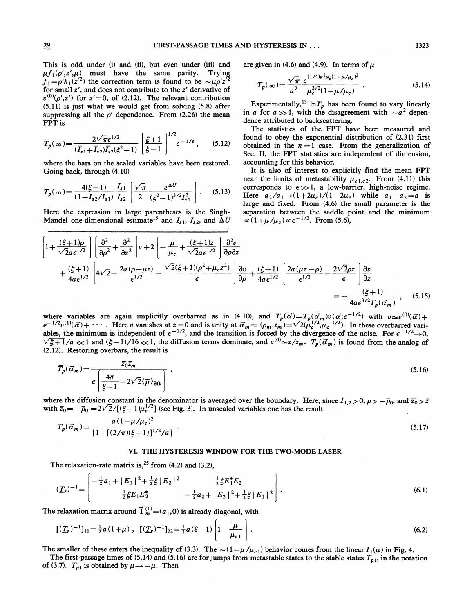This is odd under (i) and (ii), but even under (iii) and  $\mu f_1(\rho', z', \mu)$  must have the same parity. Trying  $f_1 = \rho' h_1(z^2)$  the correction term is found to be  $\sim \mu \rho' z^2$ for small z', and does not contribute to the z' derivative of  $v^{(0)}(\rho', z')$  for  $z' = 0$ , of (2.12). The relevant contribution (5.11) is just what we would get from solving (5.8) after suppressing all the  $\rho'$  dependence. From (2.26) the mean FPT is

$$
\overline{T}_{p}(\infty) = \frac{2\sqrt{\pi}\epsilon^{1/2}}{(\overline{I}_{s1} + \overline{I}_{s2})\overline{I}_{s2}(\xi^{2} - 1)} \left[\frac{\xi + 1}{\xi - 1}\right]^{1/2} e^{-1/\epsilon}, \quad (5.12)
$$

where the bars on the scaled variables have been restored. Going back, through (4.10)

$$
T_p(\infty) = \frac{4(\xi+1)}{(1+I_{s2}/I_{s1})} \frac{I_{s1}}{I_{s2}} \left[ \frac{\sqrt{\pi}}{2} \frac{e^{\Delta U}}{(\xi^2-1)^{3/2} I_{s1}^2} \right].
$$
 (5.13)

Here the expression in large parentheses is the Singh-Mandel one-dimensional estimate<sup>15</sup> and  $I_{s1}$ ,  $I_{s2}$ , and  $\Delta U$  are given in (4.6) and (4.9). In terms of  $\mu$ 

$$
T_p(\infty) = \frac{\sqrt{\pi}}{a^2} \frac{e^{(1/4)a^2 \mu_c (1 + \mu/\mu_c)^2}}{\mu_c^{3/2} (1 + \mu/\mu_c)}.
$$
 (5.14)

Experimentally,<sup>13</sup> lnT<sub>p</sub> has been found to vary linearly in a for  $a \gg 1$ , with the disagreement with  $\sim a^2$  dependence attributed to backscattering.

The statistics of the FPT have been measured and found to obey the exponential distribution of (2.31) first obtained in the  $n = 1$  case. From the generalization of Sec. II, the FPT statistics are independent of dimension, accounting for this behavior.

It is also of interest to explicitly find the mean FPT near the limits of metastability  $\mu_{c1,c2}$ . From (4.11) this corresponds to  $\epsilon \gg 1$ , a low-barrier, high-noise regime. Here  $a_2/a_1 \rightarrow (1+2\mu_c)/(1-2\mu_c)$  while  $a_1+a_2 = a$  is large and fixed. From (4.6) the small parameter is the separation between the saddle point and the minimum  $\propto (1+\mu/\mu_c) \propto \epsilon^{-1/2}$ . From (5.6),

$$
\left[1+\frac{(\xi+1)\rho}{\sqrt{2}a\epsilon^{1/2}}\right] \left[\frac{\partial^2}{\partial\rho^2} + \frac{\partial^2}{\partial z^2}\right] v + 2\left[-\frac{\mu}{\mu_c} + \frac{(\xi+1)z}{\sqrt{2}a\epsilon^{1/2}}\right] \frac{\partial^2 v}{\partial\rho \partial z} + \frac{(\xi+1)}{4a\epsilon^{1/2}} \left[4\sqrt{2} - \frac{2a(\rho-\mu z)}{\epsilon^{1/2}} - \frac{\sqrt{2}(\xi+1)(\rho^2+\mu_c z^2)}{\epsilon}\right] \frac{\partial v}{\partial\rho} + \frac{(\xi+1)}{4a\epsilon^{1/2}} \left[\frac{2a(\mu z-\rho)}{\epsilon^{1/2}} - \frac{2\sqrt{2}\rho z}{\epsilon}\right] \frac{\partial v}{\partial z} = -\frac{(\xi+1)}{4a\epsilon^{3/2}T_p(\vec{\alpha}_m)}, \quad (5.15)
$$

where variables are again implicitly overbarred as in (4.10), and  $T_p(\vec{\alpha}) = T_p(\vec{\alpha}_m)v(\vec{\alpha}; \epsilon^{-1/2})$  with  $v \approx v^{(0)}(\vec{\alpha}) + \epsilon^{-1/2}v^{(1)}(\vec{\alpha}) + \cdots$ . Here v vanishes at  $z = 0$  and is unity at  $\vec{\alpha}_m = (\rho_m, z_m) = \sqrt{2}(\mu_c^{1/2}, \mu_c^{-1/2})$  $\epsilon^{-1/2}v^{(1)}(\vec{\alpha})+\cdots$ . Here v vanishes at  $z=0$  and is unity at  $\vec{\alpha}_m = (\rho_m, z_m) = \sqrt{2}(\mu_c^{1/2}, \mu_c^{-1/2})$ . In these overbarred variables, the minimum is independent of  $\epsilon^{-1/2}$ , and the transition is forced by the divergen (2.12). Restoring overbars, the result is

$$
\overline{T}_p(\vec{\alpha}_m) = \frac{\overline{z}_0 \overline{z}_m}{\epsilon \left[ \frac{4\overline{a}}{\xi + 1} + 2\sqrt{2} \langle \overline{\rho} \rangle_{\partial \Omega} \right]},
$$
\n(5.16)

where the diffusion constant in the denominator is averaged over the boundary. Here, since  $I_{1,2} > 0$ ,  $\rho > -\overline{\rho}_0$ , and  $\overline{z}_0 > \overline{z}$ where the diffusion constant in the denominator is averaged over the oddinary. Here,<br>with  $\bar{z}_0 = -\bar{\rho}_0 = 2\sqrt{2}/[(\xi + 1)\mu_c^{1/2}]$  (see Fig. 3). In unscaled variables one has the result

$$
T_p(\vec{\alpha}_m) = \frac{a(1 + \mu/\mu_c)^2}{\left\{1 + \left[(2/\pi)(\xi + 1)\right]^{1/2}/a\right\}} \tag{5.17}
$$

#### VI. THE HYSTERESIS WINDOW FOR THE TWO-MODE LASER

The relaxation-rate matrix is,  $2^5$  from (4.2) and (3.2),

$$
(\underline{T}_r)^{-1} = \begin{bmatrix} -\frac{1}{2}a_1 + |E_1|^2 + \frac{1}{2}\xi |E_2|^2 & \frac{1}{2}\xi E_1^* E_2 \\ \frac{1}{2}\xi E_1 E_2^* & -\frac{1}{2}a_2 + |E_2|^2 + \frac{1}{2}\xi |E_1|^2 \end{bmatrix}.
$$
 (6.1)

The relaxation matrix around  $\vec{I}^{(1)}_{m} = (a_1, 0)$  is already diagonal, with

$$
[(\underline{T}_r)^{-1}]_{11} = \frac{1}{2}a(1+\mu), \quad [(\underline{T}_r)^{-1}]_{22} = \frac{1}{2}a(\xi-1)\left[1-\frac{\mu}{\mu_{c1}}\right].
$$
 (6.2)

The smaller of these enters the inequality of (3.3). The  $\sim(1-\mu/\mu_{c1})$  behavior comes from the linear  $I_1(\mu)$  in Fig. 4.

The first-passage times of (5.14) and (5.16) are for jumps from metastable states to the stable states  $T_{p,i}$ , in the notation of (3.7).  $T_{p\uparrow}$  is obtained by  $\mu \rightarrow -\mu$ . Then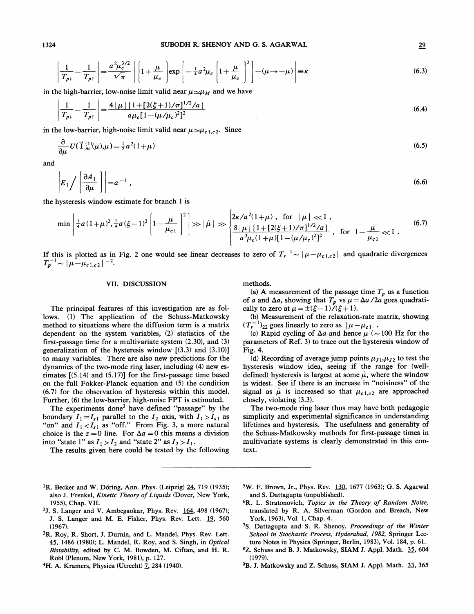$$
\text{SUBODH R. SHENOY AND G. S. AGARWAL} \qquad \qquad \frac{1}{T_{p_1}} - \frac{1}{T_{p_1}} \left| \frac{a^2 \mu_c^{3/2}}{\sqrt{\pi}} \right| \left[ 1 + \frac{\mu}{\mu_c} \right] \exp \left[ -\frac{1}{4} a^2 \mu_c \left[ 1 + \frac{\mu}{\mu_c} \right]^2 \right] - (\mu \to -\mu) \left| \equiv \kappa \right. \tag{6.3}
$$

in the high-barrier, low-noise limit valid near  $\mu \simeq \mu_M$  and we have

$$
\left| \frac{1}{T_{p_1}} - \frac{1}{T_{p_1}} \right| = \frac{4 \left| \mu \right| \left\{ 1 + \left[ 2(\xi + 1)/\pi \right]^{1/2}/a \right\}}{a \mu_c \left[ 1 - (\mu/\mu_c)^2 \right]^2}
$$
\n(6.4)

in the low-barrier, high-noise limit valid near  $\mu \simeq \mu_{c1,c2}$ . Since

$$
\frac{\partial}{\partial \mu} U(\vec{\mathbf{1}}_{m}^{(1)}(\mu), \mu) = \frac{1}{2} a^2 (1 + \mu)
$$
\n(6.5)

and

$$
\left| E_1 \bigg/ \left( \frac{\partial A_1}{\partial \mu} \right) \right| = a^{-1} \,, \tag{6.6}
$$

the hysteresis window estimate for branch <sup>1</sup> is

$$
\min\left[\frac{1}{4}a(1+\mu)^2,\frac{1}{4}a(\xi-1)^2\left|1-\frac{\mu}{\mu_{c1}}\right|^2\right] \gg |\dot{\mu}| \gg \left\{\frac{2\kappa/a^2(1+\mu), \text{ for } |\mu| \ll 1, \left[\frac{2\kappa}{a^2\mu}(\frac{1}{1+\left[2(\xi+1)/\pi\right]^{1/2}/a)}\right]}{a^3\mu_c(1+\mu)[1-(\mu/\mu_c)^2]^2}, \text{ for } 1-\frac{\mu}{\mu_{c1}} \ll 1. \tag{6.7}
$$

If this is plotted as in Fig. 2 one would see linear decreases to zero of  $T_r^{-1} \sim |\mu - \mu_{c1,c2}|$  and quadratic divergences  $T_p^{-1} \sim |\mu-\mu_{c1,c2}|^{-2}$ .

#### VII. DISCUSSION

The principal features of this investigation are as follows. (1) The application of the Schuss-Matkowsky method to situations where the diffusion term is a matrix dependent on the system variables, (2) statistics of the first-passage time for a multivariate system (2.30), and (3) generalization of the hysteresis window  $[(3.3)$  and  $(3.10)]$ to many variables. There are also new predictions for the dynamics of the two-mode ring laser, including (4) new estimates [(5.14) and (5.17)] for the first-passage time based on the full Fokker-Planck equation and (5) the condition (6.7) for the observation of hysteresis within this model. Further, (6) the low-barrier, high-noise FPT is estimated.

The experiments done<sup>3</sup> have defined "passage" by the boundary  $I_1 = I_{s1}$  parallel to the  $I_2$  axis, with  $I_1 > I_{s1}$  as "on" and  $I_1 < I_{s1}$  as "off." From Fig. 3, a more natural choice is the  $z = 0$  line. For  $\Delta a = 0$  this means a division into "state 1" as  $I_1 > I_2$  and "state 2" as  $I_2 > I_1$ .

The results given here could be tested by the following

methods.

(a) A measurement of the passage time  $T_p$  as a function of a and  $\Delta a$ , showing that  $T_p$  vs  $\mu = \Delta a / 2a$  goes quadratically to zero at  $\mu = \pm(\xi - 1)/(\xi + 1)$ .

(b) Measurement of the relaxation-rate matrix, showing  $(T_r^{-1})_{22}$  goes linearly to zero as  $|\mu-\mu_{c1}|$ .

(c) Rapid cycling of  $\Delta a$  and hence  $\mu$  ( $\sim$ 100 Hz for the parameters of Ref. 3) to trace out the hysteresis window of Fig. 4.

(d) Recording of average jump points  $\mu_{J1},\mu_{J2}$  to test the hysteresis window idea, seeing if the range for (welldefined) hysteresis is largest at some  $\mu$ , where the window is widest. See if there is an increase in "noisiness" of the signal as  $\mu$  is increased so that  $\mu_{c1,c2}$  are approached closely, violating (3.3).

The two-mode ring laser thus may have both pedagogic simplicity and experimental significance in understanding lifetimes and hysteresis. The usefulness and generality of the Schuss-Matkowsky methods for first-passage times in multivariate systems is clearly demonstrated in this context.

- <sup>1</sup>R. Becker and W. Döring, Ann. Phys. (Leipzig)  $24$ , 719 (1935); also J. Frenkel, Kinetic Theory of Liquids (Dover, New York, 1955), Chap. VII.
- 2J. S. Langer and V. Ambegaokar, Phys. Rev. 164, 498 (1967); J. S. Langer and M. E. Fisher, Phys. Rev. Lett. 19, 560 (1967).
- 3R. Roy, R. Short, J. Durnin, and L. Mandel, Phys. Rev. Lett. 45, 1486 (1980); L. Mandel, R. Roy, and S. Singh, in Optical Bistability, edited by C. M. Bowden, M. Ciftan, and H. R. Robl (Plenum, New York, 1981), p. 127.
- 4H. A. Kramers, Physica (Utrecht) 7, 284 (1940).
- <sup>5</sup>W. F. Brown, Jr., Phys. Rev. 130, 1677 (1963); G. S. Agarwal and S. Dattagupta (unpublished).
- ${}^{6}R$ . L. Stratonovich, Topics in the Theory of Random Noise, translated by R. A. Silverman (Gordon and Breach, New York, 1963), Vol. 1, Chap. 4.
- 7S. Dattagupta and S. R. Shenoy, Proceedings of the Winter School in Stochastic Process, Hyderabad, 1982, Springer Lecture Notes in Physics (Springer, Berlin, 1983), Vol. 184, p. 61.
- 8Z. Schuss and B.J. Matkowsky, SIAM J. Appl. Math. 35, 604 (1979).
- <sup>9</sup>B. J. Matkowsky and Z. Schuss, SIAM J. Appl. Math. 33, 365